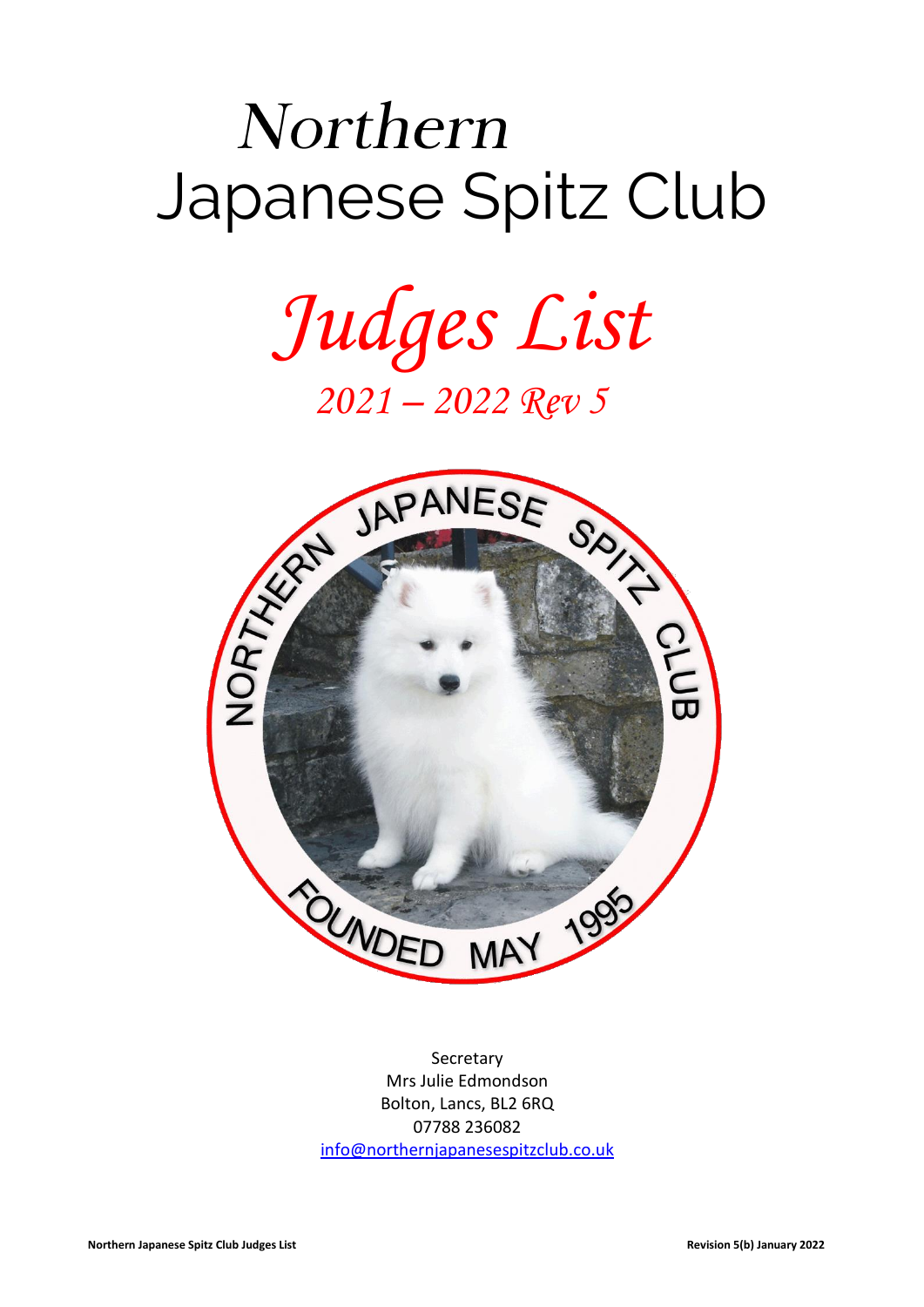# Northern Japanese Spitz Club

*Judges List 2021 – 2022 Rev 5*



**Secretary** Mrs Julie Edmondson Bolton, Lancs, BL2 6RQ 07788 236082 [info@northernjapanesespitzclub.co.uk](mailto:info@northernjapanesespitzclub.co.uk)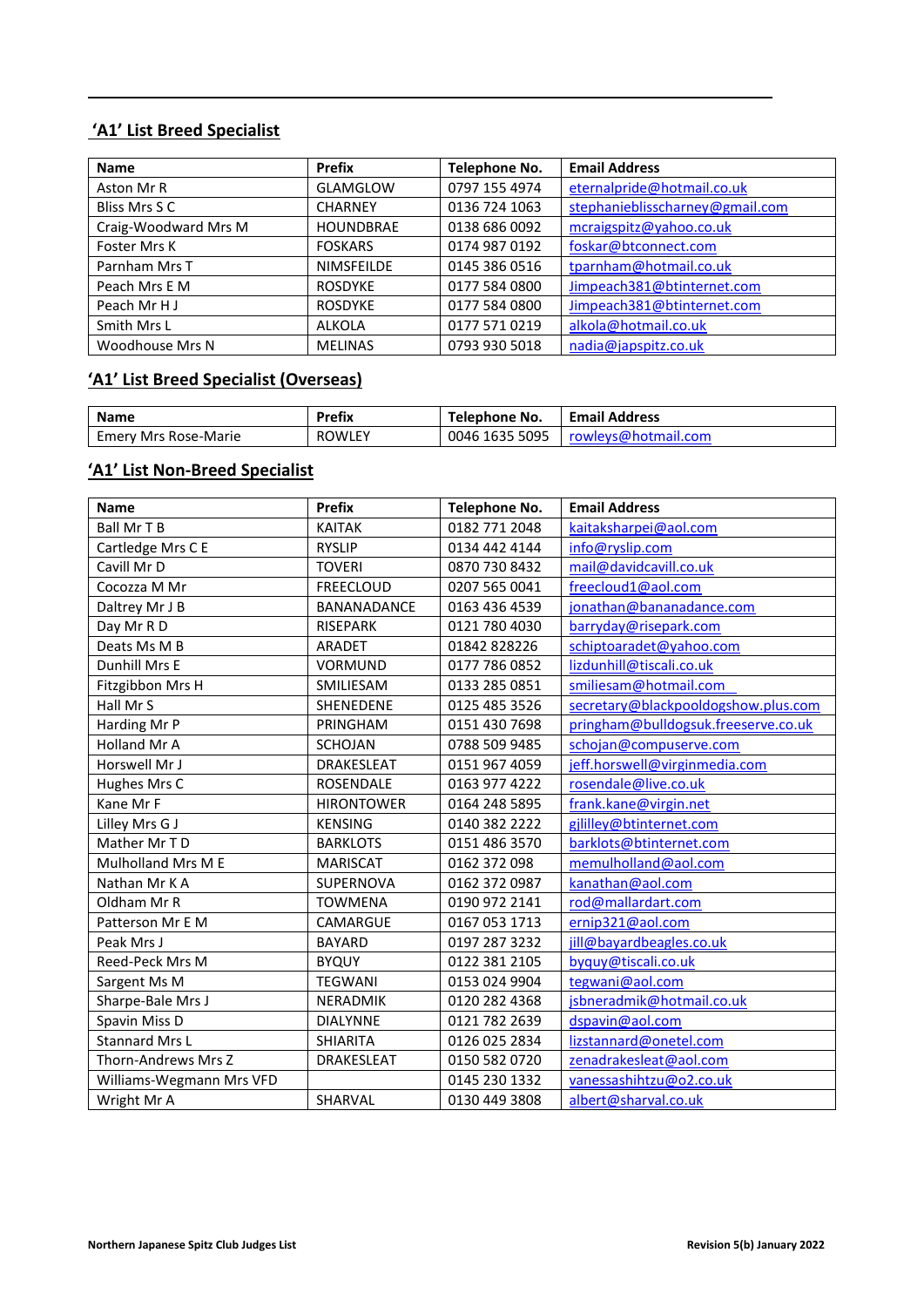## **'A1' List Breed Specialist**

| <b>Name</b>          | <b>Prefix</b>    | <b>Telephone No.</b> | <b>Email Address</b>            |
|----------------------|------------------|----------------------|---------------------------------|
| Aston Mr R           | <b>GLAMGLOW</b>  | 0797 155 4974        | eternalpride@hotmail.co.uk      |
| Bliss Mrs S C        | <b>CHARNEY</b>   | 0136 724 1063        | stephanieblisscharney@gmail.com |
| Craig-Woodward Mrs M | <b>HOUNDBRAE</b> | 0138 686 0092        | mcraigspitz@yahoo.co.uk         |
| Foster Mrs K         | <b>FOSKARS</b>   | 0174 987 0192        | foskar@btconnect.com            |
| Parnham Mrs T        | NIMSFEILDE       | 0145 386 0516        | tparnham@hotmail.co.uk          |
| Peach Mrs E M        | <b>ROSDYKE</b>   | 0177 584 0800        | Jimpeach381@btinternet.com      |
| Peach Mr H J         | <b>ROSDYKE</b>   | 0177 584 0800        | Jimpeach381@btinternet.com      |
| Smith Mrs L          | <b>ALKOLA</b>    | 0177 571 0219        | alkola@hotmail.co.uk            |
| Woodhouse Mrs N      | <b>MELINAS</b>   | 0793 930 5018        | nadia@japspitz.co.uk            |

## **'A1' List Breed Specialist (Overseas)**

| <b>Name</b>          | Prefix        | Telephone No.  | <b>Email Address</b> |
|----------------------|---------------|----------------|----------------------|
| Emery Mrs Rose-Marie | <b>ROWLEY</b> | 0046 1635 5095 | rowleys@hotmail.com  |

## **'A1' List Non-Breed Specialist**

| <b>Name</b>              | <b>Prefix</b>     | <b>Telephone No.</b> | <b>Email Address</b>                |
|--------------------------|-------------------|----------------------|-------------------------------------|
| <b>Ball Mr T B</b>       | <b>KAITAK</b>     | 0182 771 2048        | kaitaksharpei@aol.com               |
| Cartledge Mrs C E        | <b>RYSLIP</b>     | 0134 442 4144        | info@ryslip.com                     |
| Cavill Mr D              | <b>TOVERI</b>     | 0870 730 8432        | mail@davidcavill.co.uk              |
| Cocozza M Mr             | <b>FREECLOUD</b>  | 0207 565 0041        | freecloud1@aol.com                  |
| Daltrey Mr J B           | BANANADANCE       | 0163 436 4539        | jonathan@bananadance.com            |
| Day Mr R D               | <b>RISEPARK</b>   | 0121 780 4030        | barryday@risepark.com               |
| Deats Ms M B             | <b>ARADET</b>     | 01842 828226         | schiptoaradet@yahoo.com             |
| Dunhill Mrs E            | <b>VORMUND</b>    | 0177 786 0852        | lizdunhill@tiscali.co.uk            |
| Fitzgibbon Mrs H         | SMILIESAM         | 0133 285 0851        | smiliesam@hotmail.com               |
| Hall Mr S                | SHENEDENE         | 0125 485 3526        | secretary@blackpooldogshow.plus.com |
| Harding Mr P             | PRINGHAM          | 0151 430 7698        | pringham@bulldogsuk.freeserve.co.uk |
| <b>Holland Mr A</b>      | <b>SCHOJAN</b>    | 0788 509 9485        | schojan@compuserve.com              |
| Horswell Mr J            | DRAKESLEAT        | 0151 967 4059        | jeff.horswell@virginmedia.com       |
| Hughes Mrs C             | <b>ROSENDALE</b>  | 0163 977 4222        | rosendale@live.co.uk                |
| Kane Mr F                | <b>HIRONTOWER</b> | 0164 248 5895        | frank.kane@virgin.net               |
| Lilley Mrs G J           | <b>KENSING</b>    | 0140 382 2222        | gjlilley@btinternet.com             |
| Mather Mr TD             | <b>BARKLOTS</b>   | 0151 486 3570        | barklots@btinternet.com             |
| Mulholland Mrs M E       | <b>MARISCAT</b>   | 0162 372 098         | memulholland@aol.com                |
| Nathan Mr K A            | SUPERNOVA         | 0162 372 0987        | kanathan@aol.com                    |
| Oldham Mr R              | <b>TOWMENA</b>    | 0190 972 2141        | rod@mallardart.com                  |
| Patterson Mr E M         | CAMARGUE          | 0167 053 1713        | ernip321@aol.com                    |
| Peak Mrs J               | <b>BAYARD</b>     | 0197 287 3232        | jill@bayardbeagles.co.uk            |
| Reed-Peck Mrs M          | <b>BYQUY</b>      | 0122 381 2105        | byquy@tiscali.co.uk                 |
| Sargent Ms M             | <b>TEGWANI</b>    | 0153 024 9904        | tegwani@aol.com                     |
| Sharpe-Bale Mrs J        | NERADMIK          | 0120 282 4368        | jsbneradmik@hotmail.co.uk           |
| Spavin Miss D            | <b>DIALYNNE</b>   | 0121 782 2639        | dspavin@aol.com                     |
| <b>Stannard Mrs L</b>    | <b>SHIARITA</b>   | 0126 025 2834        | lizstannard@onetel.com              |
| Thorn-Andrews Mrs Z      | <b>DRAKESLEAT</b> | 0150 582 0720        | zenadrakesleat@aol.com              |
| Williams-Wegmann Mrs VFD |                   | 0145 230 1332        | vanessashihtzu@o2.co.uk             |
| Wright Mr A              | SHARVAL           | 0130 449 3808        | albert@sharval.co.uk                |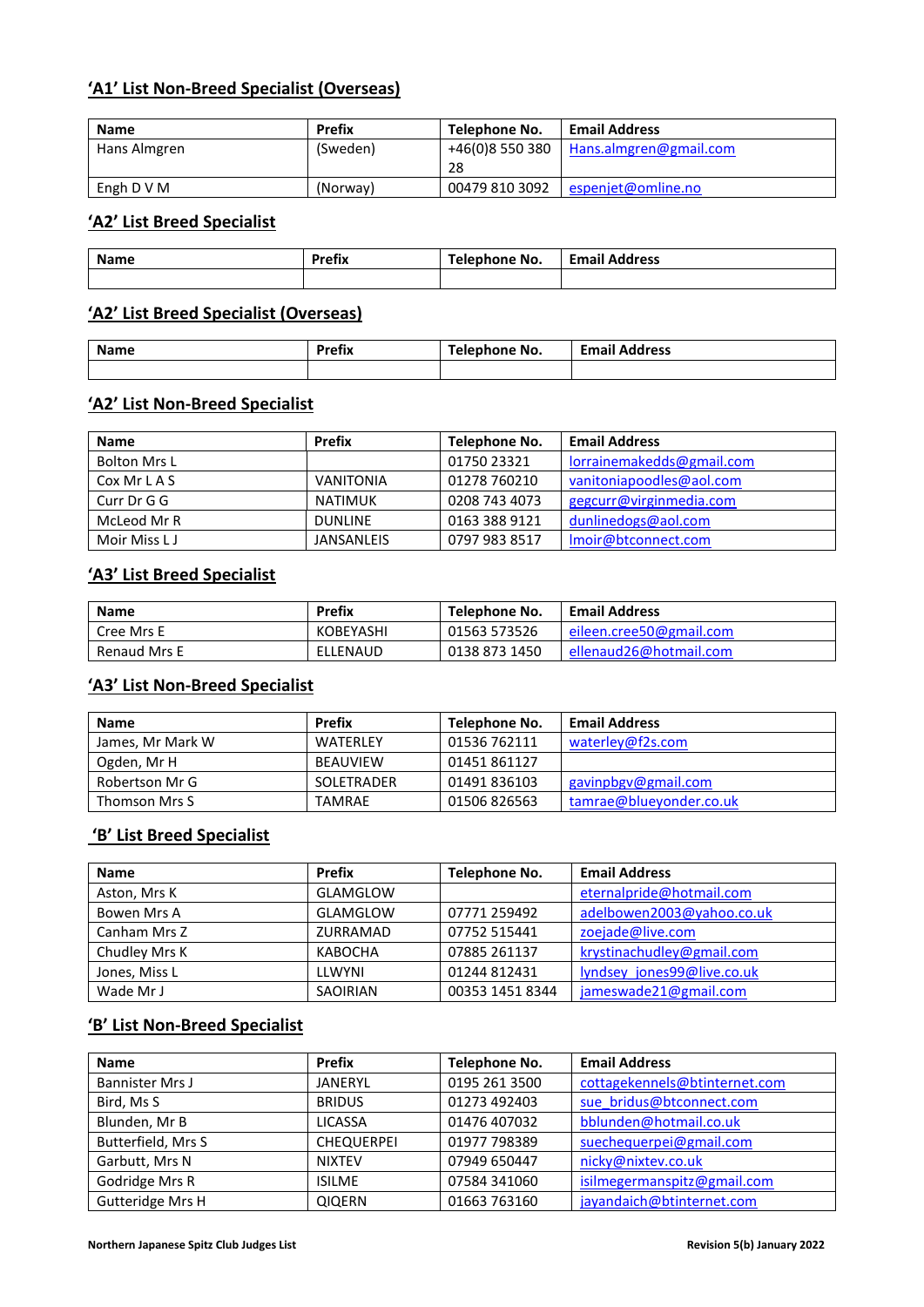## **'A1' List Non-Breed Specialist (Overseas)**

| Name         | <b>Prefix</b> | Telephone No.   | <b>Email Address</b>   |
|--------------|---------------|-----------------|------------------------|
| Hans Almgren | (Sweden)      | +46(0)8 550 380 | Hans.almgren@gmail.com |
|              |               | 28              |                        |
| Engh D V M   | (Norway)      | 00479 810 3092  | espenjet@omline.no     |

## **'A2' List Breed Specialist**

| Name | Prefix | Telephone No. | <b>Email Address</b> |
|------|--------|---------------|----------------------|
|      |        |               |                      |

#### **'A2' List Breed Specialist (Overseas)**

| <b>Name</b> | Drofiv<br>אווסי<br>_______ | Telephone No. | <b>Email</b><br>ldress<br>. |
|-------------|----------------------------|---------------|-----------------------------|
|             |                            |               |                             |

# **'A2' List Non-Breed Specialist**

| <b>Name</b>         | <b>Prefix</b>     | Telephone No. | <b>Email Address</b>      |
|---------------------|-------------------|---------------|---------------------------|
| <b>Bolton Mrs L</b> |                   | 01750 23321   | lorrainemakedds@gmail.com |
| Cox Mr L A S        | <b>VANITONIA</b>  | 01278 760210  | vanitoniapoodles@aol.com  |
| Curr Dr G G         | NATIMUK           | 0208 743 4073 | gegcurr@virginmedia.com   |
| McLeod Mr R         | <b>DUNLINE</b>    | 0163 388 9121 | dunlinedogs@aol.com       |
| Moir Miss L J       | <b>JANSANLEIS</b> | 0797 983 8517 | Imoir@btconnect.com       |

## **'A3' List Breed Specialist**

| Name                | Prefix    | Telephone No. | <b>Email Address</b>    |
|---------------------|-----------|---------------|-------------------------|
| Cree Mrs E          | KOBEYASHI | 01563 573526  | eileen.cree50@gmail.com |
| <b>Renaud Mrs E</b> | ELLENAUD  | 0138 873 1450 | ellenaud26@hotmail.com  |

### **'A3' List Non-Breed Specialist**

| Name             | <b>Prefix</b>   | Telephone No. | <b>Email Address</b>    |
|------------------|-----------------|---------------|-------------------------|
| James, Mr Mark W | <b>WATFRLFY</b> | 01536 762111  | waterley@f2s.com        |
| Ogden, Mr H      | BEAUVIEW        | 01451861127   |                         |
| Robertson Mr G   | SOLETRADER      | 01491836103   | gavinpbgy@gmail.com     |
| Thomson Mrs S    | TAMRAE          | 01506 826563  | tamrae@blueyonder.co.uk |

### **'B' List Breed Specialist**

| <b>Name</b>   | Prefix   | Telephone No.   | <b>Email Address</b>       |
|---------------|----------|-----------------|----------------------------|
| Aston, Mrs K  | GLAMGLOW |                 | eternalpride@hotmail.com   |
| Bowen Mrs A   | GLAMGLOW | 07771 259492    | adelbowen2003@yahoo.co.uk  |
| Canham Mrs Z  | ZURRAMAD | 07752 515441    | zoejade@live.com           |
| Chudley Mrs K | KABOCHA  | 07885 261137    | krystinachudley@gmail.com  |
| Jones, Miss L | LLWYNI   | 01244812431     | Iyndsey jones99@live.co.uk |
| Wade Mr J     | SAOIRIAN | 00353 1451 8344 | jameswade21@gmail.com      |

#### **'B' List Non-Breed Specialist**

| <b>Name</b>            | <b>Prefix</b>     | Telephone No. | <b>Email Address</b>          |
|------------------------|-------------------|---------------|-------------------------------|
| <b>Bannister Mrs J</b> | <b>JANERYL</b>    | 0195 261 3500 | cottagekennels@btinternet.com |
| Bird, Ms S             | <b>BRIDUS</b>     | 01273 492403  | sue bridus@btconnect.com      |
| Blunden, Mr B          | <b>LICASSA</b>    | 01476 407032  | bblunden@hotmail.co.uk        |
| Butterfield, Mrs S     | <b>CHEQUERPEI</b> | 01977 798389  | suechequerpei@gmail.com       |
| Garbutt, Mrs N         | <b>NIXTEV</b>     | 07949 650447  | nicky@nixtev.co.uk            |
| Godridge Mrs R         | <b>ISILME</b>     | 07584 341060  | isilmegermanspitz@gmail.com   |
| Gutteridge Mrs H       | <b>QIQERN</b>     | 01663 763160  | jayandaich@btinternet.com     |